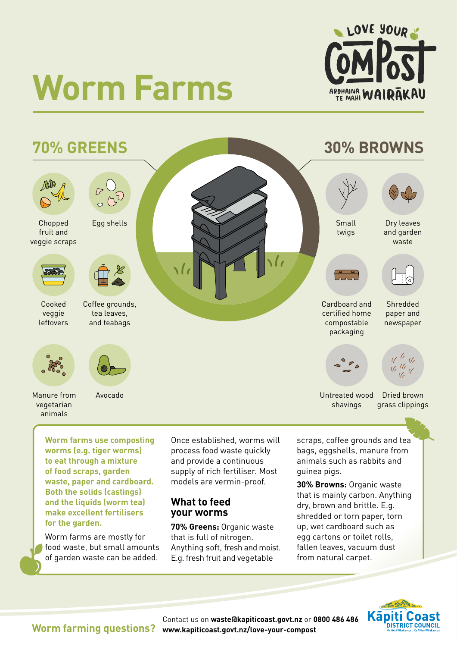

# **Worm Farms**



**Worm farms use composting worms (e.g. tiger worms) to eat through a mixture of food scraps, garden waste, paper and cardboard. Both the solids (castings) and the liquids (worm tea) make excellent fertilisers for the garden.** 

Worm farms are mostly for food waste, but small amounts of garden waste can be added.

Once established, worms will process food waste quickly and provide a continuous supply of rich fertiliser. Most models are vermin-proof.

#### **What to feed your worms**

**70% Greens:** Organic waste that is full of nitrogen. Anything soft, fresh and moist. E.g. fresh fruit and vegetable

scraps, coffee grounds and tea bags, eggshells, manure from animals such as rabbits and guinea pigs.

**30% Browns:** Organic waste that is mainly carbon. Anything dry, brown and brittle. E.g. shredded or torn paper, torn up, wet cardboard such as egg cartons or toilet rolls, fallen leaves, vacuum dust from natural carpet.



**Worm farming questions?**

Contact us on **[waste@kapiticoast.govt.nz](mailto:waste@kapiticoast.govt.nz)** or **0800 486 486 [www.kapiticoast.govt.nz/love-your-compost](http://www.kapiticoast.govt.nz/love-your-compost)**